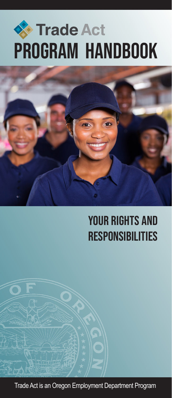# **Standard France Act PROGRAM HANDBOOK**



## YOUR RIGHTS AND **RESPONSIBILITIES**



Trade Act is an Oregon Employment Department Program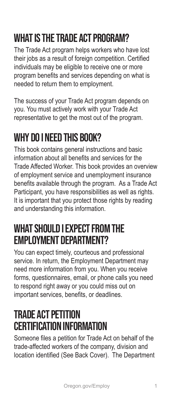## WHAT IS THE TRADE ACT PROGRAM?

The Trade Act program helps workers who have lost their jobs as a result of foreign competition. Certified individuals may be eligible to receive one or more program benefits and services depending on what is needed to return them to employment.

The success of your Trade Act program depends on you. You must actively work with your Trade Act representative to get the most out of the program.

## WHY DO I NFFD THIS BOOK?

This book contains general instructions and basic information about all benefits and services for the Trade Affected Worker. This book provides an overview of employment service and unemployment insurance benefits available through the program. As a Trade Act Participant, you have responsibilities as well as rights. It is important that you protect those rights by reading and understanding this information.

## What should I expect from the Employment Department?

You can expect timely, courteous and professional service. In return, the Employment Department may need more information from you. When you receive forms, questionnaires, email, or phone calls you need to respond right away or you could miss out on important services, benefits, or deadlines.

## Trade Act Petition Certification Information

Someone files a petition for Trade Act on behalf of the trade-affected workers of the company, division and location identified (See Back Cover). The Department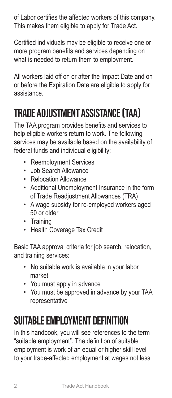of Labor certifies the affected workers of this company. This makes them eligible to apply for Trade Act.

Certified individuals may be eligible to receive one or more program benefits and services depending on what is needed to return them to employment.

All workers laid off on or after the Impact Date and on or before the Expiration Date are eligible to apply for assistance.

## Trade Adjustment Assistance (TAA)

The TAA program provides benefits and services to help eligible workers return to work. The following services may be available based on the availability of federal funds and individual eligibility:

- Reemployment Services
- Job Search Allowance
- Relocation Allowance
- Additional Unemployment Insurance in the form of Trade Readjustment Allowances (TRA)
- A wage subsidy for re-employed workers aged 50 or older
- Training
- Health Coverage Tax Credit

Basic TAA approval criteria for job search, relocation, and training services:

- No suitable work is available in your labor market
- You must apply in advance
- You must be approved in advance by your TAA representative

## Suitable Employment Definition

In this handbook, you will see references to the term "suitable employment". The definition of suitable employment is work of an equal or higher skill level to your trade-affected employment at wages not less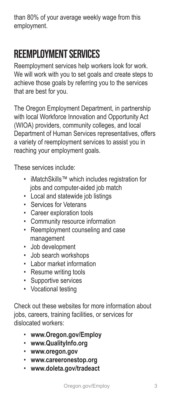than 80% of your average weekly wage from this employment.

## Reemployment Services

Reemployment services help workers look for work. We will work with you to set goals and create steps to achieve those goals by referring you to the services that are best for you.

The Oregon Employment Department, in partnership with local Workforce Innovation and Opportunity Act (WIOA) providers, community colleges, and local Department of Human Services representatives, offers a variety of reemployment services to assist you in reaching your employment goals.

These services include:

- iMatchSkills™ which includes registration for jobs and computer-aided job match
- Local and statewide job listings
- Services for Veterans
- Career exploration tools
- Community resource information
- Reemployment counseling and case management
- Job development
- Job search workshops
- Labor market information
- Resume writing tools
- Supportive services
- Vocational testing

Check out these websites for more information about jobs, careers, training facilities, or services for dislocated workers:

- **www.Oregon.gov/Employ**
- **www.QualityInfo.org**
- **www.oregon.gov**
- **www.careeronestop.org**
- **www.doleta.gov/tradeact**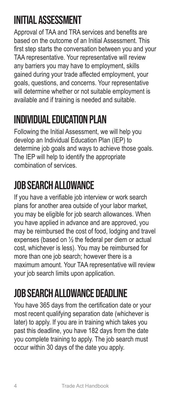## Initial Assessment

Approval of TAA and TRA services and benefits are based on the outcome of an Initial Assessment. This first step starts the conversation between you and your TAA representative. Your representative will review any barriers you may have to employment, skills gained during your trade affected employment, your goals, questions, and concerns. Your representative will determine whether or not suitable employment is available and if training is needed and suitable.

## Individual Education Plan

Following the Initial Assessment, we will help you develop an Individual Education Plan (IEP) to determine job goals and ways to achieve those goals. The IEP will help to identify the appropriate combination of services.

## Job Search Allowance

If you have a verifiable job interview or work search plans for another area outside of your labor market, you may be eligible for job search allowances. When you have applied in advance and are approved, you may be reimbursed the cost of food, lodging and travel expenses (based on ½ the federal per diem or actual cost, whichever is less). You may be reimbursed for more than one job search; however there is a maximum amount. Your TAA representative will review your job search limits upon application.

## Job Search Allowance DEADLINE

You have 365 days from the certification date or your most recent qualifying separation date (whichever is later) to apply. If you are in training which takes you past this deadline, you have 182 days from the date you complete training to apply. The job search must occur within 30 days of the date you apply.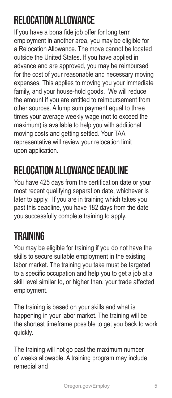## Relocation Allowance

If you have a bona fide job offer for long term employment in another area, you may be eligible for a Relocation Allowance. The move cannot be located outside the United States. If you have applied in advance and are approved, you may be reimbursed for the cost of your reasonable and necessary moving expenses. This applies to moving you your immediate family, and your house-hold goods. We will reduce the amount if you are entitled to reimbursement from other sources. A lump sum payment equal to three times your average weekly wage (not to exceed the maximum) is available to help you with additional moving costs and getting settled. Your TAA representative will review your relocation limit upon application.

## Relocation Allowance DEADLINE

You have 425 days from the certification date or your most recent qualifying separation date, whichever is later to apply. If you are in training which takes you past this deadline, you have 182 days from the date you successfully complete training to apply.

## **TRAINING**

You may be eligible for training if you do not have the skills to secure suitable employment in the existing labor market. The training you take must be targeted to a specific occupation and help you to get a job at a skill level similar to, or higher than, your trade affected employment.

The training is based on your skills and what is happening in your labor market. The training will be the shortest timeframe possible to get you back to work quickly.

The training will not go past the maximum number of weeks allowable. A training program may include remedial and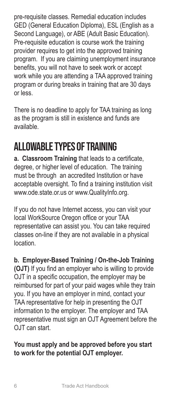pre-requisite classes. Remedial education includes GED (General Education Diploma), ESL (English as a Second Language), or ABE (Adult Basic Education). Pre-requisite education is course work the training provider requires to get into the approved training program. If you are claiming unemployment insurance benefits, you will not have to seek work or accept work while you are attending a TAA approved training program or during breaks in training that are 30 days or less.

There is no deadline to apply for TAA training as long as the program is still in existence and funds are available.

## Allowable Types of Training

**a. Classroom Training** that leads to a certificate, degree, or higher level of education. The training must be through an accredited Institution or have acceptable oversight. To find a training institution visit www.ode.state.or.us or www.QualityInfo.org.

If you do not have Internet access, you can visit your local WorkSource Oregon office or your TAA representative can assist you. You can take required classes on-line if they are not available in a physical location.

#### **b. Employer-Based Training / On-the-Job Training**

**(OJT)** If you find an employer who is willing to provide OJT in a specific occupation, the employer may be reimbursed for part of your paid wages while they train you. If you have an employer in mind, contact your TAA representative for help in presenting the OJT information to the employer. The employer and TAA representative must sign an OJT Agreement before the  $O<sub>1</sub>$ T can start.

#### **You must apply and be approved before you start to work for the potential OJT employer.**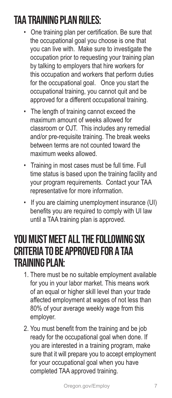## TAA TRAINING PLAN RIJI FS-

- One training plan per certification. Be sure that the occupational goal you choose is one that you can live with. Make sure to investigate the occupation prior to requesting your training plan by talking to employers that hire workers for this occupation and workers that perform duties for the occupational goal. Once you start the occupational training, you cannot quit and be approved for a different occupational training.
- The length of training cannot exceed the maximum amount of weeks allowed for classroom or OJT. This includes any remedial and/or pre-requisite training. The break weeks between terms are not counted toward the maximum weeks allowed.
- Training in most cases must be full time. Full time status is based upon the training facility and your program requirements. Contact your TAA representative for more information.
- If you are claiming unemployment insurance (UI) benefits you are required to comply with UI law until a TAA training plan is approved.

## You must meet ALL the following six criteria to be approved for a TAA training plan:

- 1. There must be no suitable employment available for you in your labor market. This means work of an equal or higher skill level than your trade affected employment at wages of not less than 80% of your average weekly wage from this employer.
- 2. You must benefit from the training and be job ready for the occupational goal when done. If you are interested in a training program, make sure that it will prepare you to accept employment for your occupational goal when you have completed TAA approved training.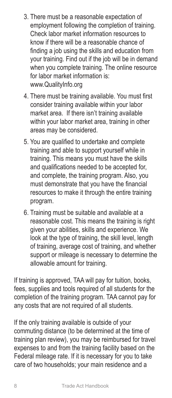- 3. There must be a reasonable expectation of employment following the completion of training. Check labor market information resources to know if there will be a reasonable chance of finding a job using the skills and education from your training. Find out if the job will be in demand when you complete training. The online resource for labor market information is: www.QualityInfo.org
- 4. There must be training available. You must first consider training available within your labor market area. If there isn't training available within your labor market area, training in other areas may be considered.
- 5. You are qualified to undertake and complete training and able to support yourself while in training. This means you must have the skills and qualifications needed to be accepted for, and complete, the training program. Also, you must demonstrate that you have the financial resources to make it through the entire training program.
- 6. Training must be suitable and available at a reasonable cost. This means the training is right given your abilities, skills and experience. We look at the type of training, the skill level, length of training, average cost of training, and whether support or mileage is necessary to determine the allowable amount for training.

If training is approved, TAA will pay for tuition, books, fees, supplies and tools required of all students for the completion of the training program. TAA cannot pay for any costs that are not required of all students.

If the only training available is outside of your commuting distance (to be determined at the time of training plan review), you may be reimbursed for travel expenses to and from the training facility based on the Federal mileage rate. If it is necessary for you to take care of two households; your main residence and a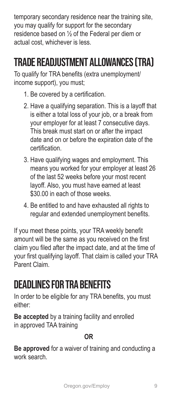temporary secondary residence near the training site, you may qualify for support for the secondary residence based on ½ of the Federal per diem or actual cost, whichever is less.

## Trade Readjustment Allowances (TRA)

To qualify for TRA benefits (extra unemployment/ income support), you must;

- 1. Be covered by a certification.
- 2. Have a qualifying separation. This is a layoff that is either a total loss of your job, or a break from your employer for at least 7 consecutive days. This break must start on or after the impact date and on or before the expiration date of the certification.
- 3. Have qualifying wages and employment. This means you worked for your employer at least 26 of the last 52 weeks before your most recent layoff. Also, you must have earned at least \$30.00 in each of those weeks.
- 4. Be entitled to and have exhausted all rights to regular and extended unemployment benefits.

If you meet these points, your TRA weekly benefit amount will be the same as you received on the first claim you filed after the impact date, and at the time of your first qualifying layoff. That claim is called your TRA Parent Claim.

## Deadlines for TRA Benefits

In order to be eligible for any TRA benefits, you must either:

**Be accepted** by a training facility and enrolled in approved TAA training

#### *OR* OR

**Be approved** for a waiver of training and conducting a work search.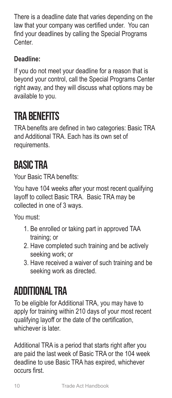There is a deadline date that varies depending on the law that your company was certified under. You can find your deadlines by calling the Special Programs **Center** 

### **Deadline:**

If you do not meet your deadline for a reason that is beyond your control, call the Special Programs Center right away, and they will discuss what options may be available to you.

## TRA Benefits

TRA benefits are defined in two categories: Basic TRA and Additional TRA. Each has its own set of requirements.

## Basic TRA

Your Basic TRA benefits:

You have 104 weeks after your most recent qualifying layoff to collect Basic TRA. Basic TRA may be collected in one of 3 ways.

You must:

- 1. Be enrolled or taking part in approved TAA training; or
- 2. Have completed such training and be actively seeking work; or
- 3. Have received a waiver of such training and be seeking work as directed.

## Additional TRA

To be eligible for Additional TRA, you may have to apply for training within 210 days of your most recent qualifying layoff or the date of the certification, whichever is later.

Additional TRA is a period that starts right after you are paid the last week of Basic TRA or the 104 week deadline to use Basic TRA has expired, whichever occurs first.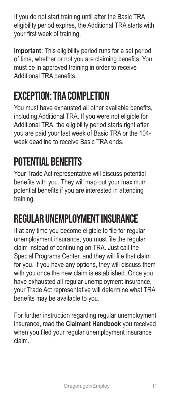If you do not start training until after the Basic TRA eligibility period expires, the Additional TRA starts with your first week of training.

**Important:** This eligibility period runs for a set period of time, whether or not you are claiming benefits. You must be in approved training in order to receive Additional TRA benefits.

## EXCEPTION: TRA Completion

You must have exhausted all other available benefits, including Additional TRA. If you were not eligible for Additional TRA, the eligibility period starts right after you are paid your last week of Basic TRA or the 104 week deadline to receive Basic TRA ends.

## POTENTIAI BENEFITS

Your Trade Act representative will discuss potential benefits with you. They will map out your maximum potential benefits if you are interested in attending training.

## Regular Unemployment Insurance

If at any time you become eligible to file for regular unemployment insurance, you must file the regular claim instead of continuing on TRA. Just call the Special Programs Center, and they will file that claim for you. If you have any options, they will discuss them with you once the new claim is established. Once you have exhausted all regular unemployment insurance, your Trade Act representative will determine what TRA benefits may be available to you.

For further instruction regarding regular unemployment insurance, read the **Claimant Handbook** you received when you filed your regular unemployment insurance claim.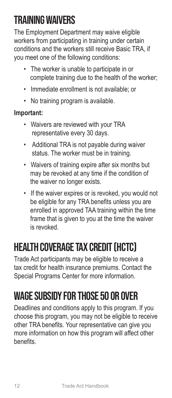## Training Waivers

The Employment Department may waive eligible workers from participating in training under certain conditions and the workers still receive Basic TRA, if you meet one of the following conditions:

- The worker is unable to participate in or complete training due to the health of the worker;
- Immediate enrollment is not available; or
- No training program is available.

#### **Important:**

- Waivers are reviewed with your TRA representative every 30 days.
- Additional TRA is not payable during waiver status. The worker must be in training.
- Waivers of training expire after six months but may be revoked at any time if the condition of the waiver no longer exists.
- If the waiver expires or is revoked, you would not be eligible for any TRA benefits unless you are enrolled in approved TAA training within the time frame that is given to you at the time the waiver is revoked.

## Health Coverage Tax Credit (HCTC)

Trade Act participants may be eligible to receive a tax credit for health insurance premiums. Contact the Special Programs Center for more information.

## Wage Subsidy for Those 50 or Over

Deadlines and conditions apply to this program. If you choose this program, you may not be eligible to receive other TRA benefits. Your representative can give you more information on how this program will affect other benefits.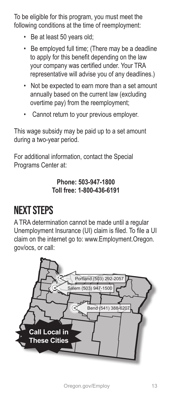To be eligible for this program, you must meet the following conditions at the time of reemployment:

- Be at least 50 years old;
- Be employed full time; (There may be a deadline to apply for this benefit depending on the law your company was certified under. Your TRA representative will advise you of any deadlines.)
- Not be expected to earn more than a set amount annually based on the current law (excluding overtime pay) from the reemployment;
- Cannot return to your previous employer.

This wage subsidy may be paid up to a set amount during a two-year period.

For additional information, contact the Special Programs Center at:

#### **Phone: 503-947-1800 Toll free: 1-800-436-6191**

## Next Steps

A TRA determination cannot be made until a regular Unemployment Insurance (UI) claim is filed. To file a UI claim on the internet go to: www.Employment.Oregon. gov/ocs, or call:

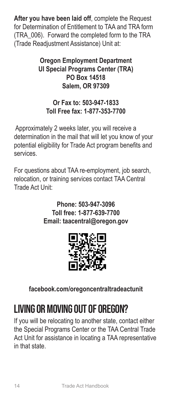**After you have been laid off**, complete the Request for Determination of Entitlement to TAA and TRA form (TRA\_006). Forward the completed form to the TRA (Trade Readjustment Assistance) Unit at:

#### **Oregon Employment Department UI Special Programs Center (TRA) PO Box 14518 Salem, OR 97309**

#### **Or Fax to: 503-947-1833 Toll Free fax: 1-877-353-7700**

 Approximately 2 weeks later, you will receive a determination in the mail that will let you know of your potential eligibility for Trade Act program benefits and services.

For questions about TAA re-employment, job search, relocation, or training services contact TAA Central Trade Act Unit:

#### **Phone: 503-947-3096 Toll free: 1-877-639-7700 Email: taacentral@oregon.gov**



#### **facebook.com/oregoncentraltradeactunit**

## Living or moving out of Oregon?

If you will be relocating to another state, contact either the Special Programs Center or the TAA Central Trade Act Unit for assistance in locating a TAA representative in that state.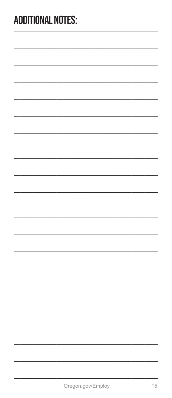## **ADDITIONAL NOTES:**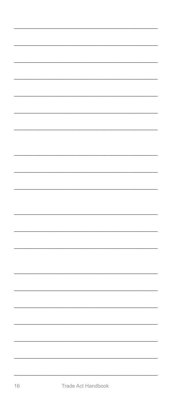ook

|  |  | Trade Act Handb |
|--|--|-----------------|
|--|--|-----------------|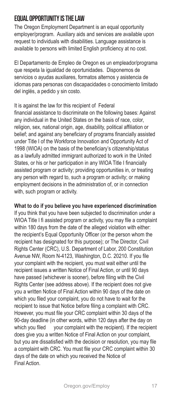#### Equal Opportunity is the Law

The Oregon Employment Department is an equal opportunity employer/program. Auxiliary aids and services are available upon request to individuals with disabilities. Language assistance is available to persons with limited English proficiency at no cost.

El Departamento de Empleo de Oregon es un empleador/programa que respeta la igualdad de oportunidades. Disponemos de servicios o ayudas auxiliares, formatos alternos y asistencia de idiomas para personas con discapacidades o conocimiento limitado del inglés, a pedido y sin costo.

It is against the law for this recipient of Federal financial assistance to discriminate on the following bases: Against any individual in the United States on the basis of race, color, religion, sex, national origin, age, disability, political affiliation or belief; and against any beneficiary of programs financially assisted under Title I of the Workforce Innovation and Opportunity Act of 1998 (WIOA) on the basis of the beneficiary's citizenship/status as a lawfully admitted immigrant authorized to work in the United States, or his or her participation in any WIOA Title I financially assisted program or activity; providing opportunities in, or treating any person with regard to, such a program or activity; or making employment decisions in the administration of, or in connection with, such program or activity.

#### **What to do if you believe you have experienced discrimination**

If you think that you have been subjected to discrimination under a WIOA Title I fi assisted program or activity, you may file a complaint within 180 days from the date of the alleged violation with either: the recipient's Equal Opportunity Officer (or the person whom the recipient has designated for this purpose); or The Director, Civil Rights Center (CRC), U.S. Department of Labor, 200 Constitution Avenue NW, Room N-4123, Washington, D.C. 20210. If you file your complaint with the recipient, you must wait either until the recipient issues a written Notice of Final Action, or until 90 days have passed (whichever is sooner), before filing with the Civil Rights Center (see address above). If the recipient does not give you a written Notice of Final Action within 90 days of the date on which you filed your complaint, you do not have to wait for the recipient to issue that Notice before filing a complaint with CRC. However, you must file your CRC complaint within 30 days of the 90-day deadline (in other words, within 120 days after the day on which you filed your complaint with the recipient). If the recipient does give you a written Notice of Final Action on your complaint, but you are dissatisfied with the decision or resolution, you may file a complaint with CRC. You must file your CRC complaint within 30 days of the date on which you received the Notice of Final Action.